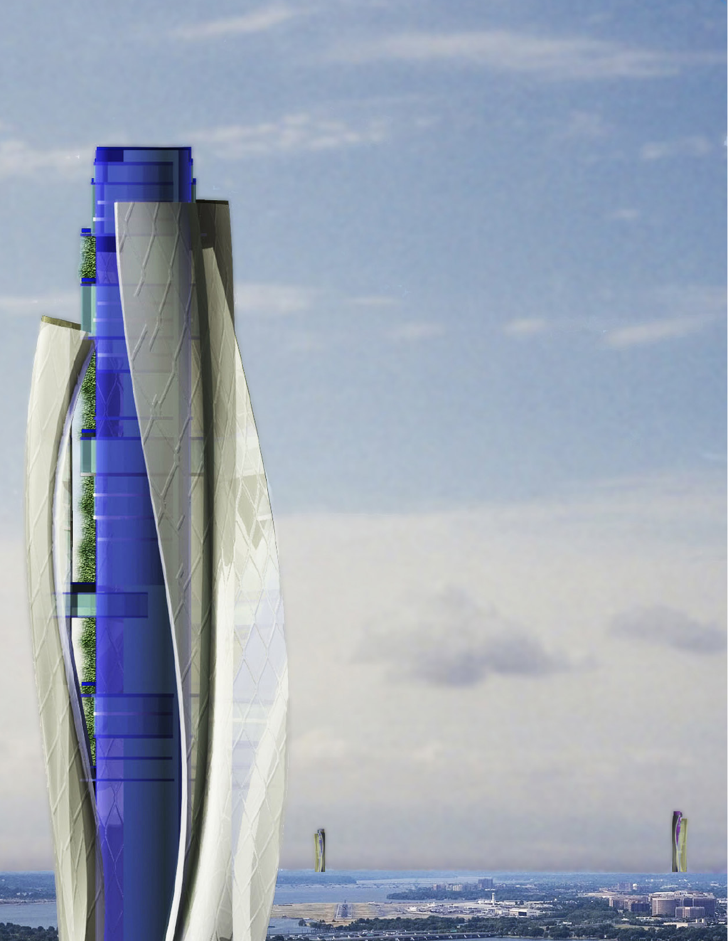